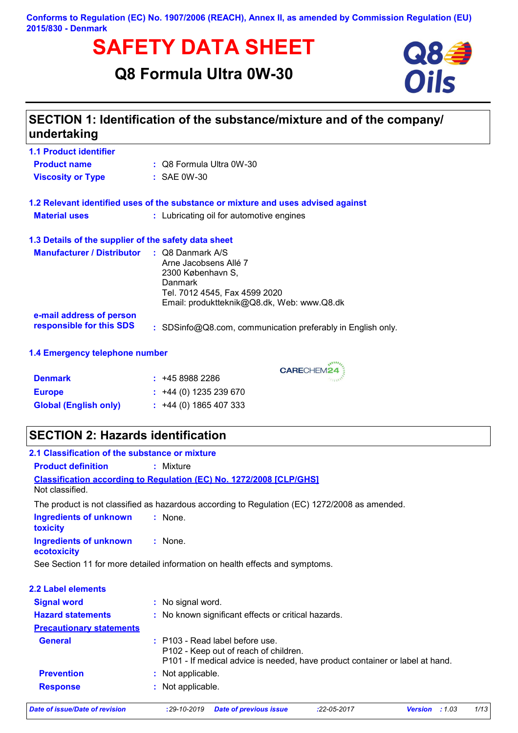**Conforms to Regulation (EC) No. 1907/2006 (REACH), Annex II, as amended by Commission Regulation (EU) 2015/830 - Denmark**

# **SAFETY DATA SHEET**<br>
Q8 Formula Ultra 0W-30<br>
Oils

# **Q8 Formula Ultra 0W-30**



# **SECTION 1: Identification of the substance/mixture and of the company/ undertaking**

| <b>1.1 Product identifier</b>                        |                                                                                                                                                                     |
|------------------------------------------------------|---------------------------------------------------------------------------------------------------------------------------------------------------------------------|
| <b>Product name</b>                                  | $\therefore$ Q8 Formula Ultra 0W-30                                                                                                                                 |
| <b>Viscosity or Type</b>                             | $\div$ SAE 0W-30                                                                                                                                                    |
|                                                      | 1.2 Relevant identified uses of the substance or mixture and uses advised against                                                                                   |
| <b>Material uses</b>                                 | : Lubricating oil for automotive engines                                                                                                                            |
| 1.3 Details of the supplier of the safety data sheet |                                                                                                                                                                     |
| <b>Manufacturer / Distributor</b>                    | $\therefore$ Q8 Danmark A/S<br>Arne Jacobsens Allé 7<br>2300 København S.<br>Danmark<br>Tel. 7012 4545, Fax 4599 2020<br>Email: produktteknik@Q8.dk, Web: www.Q8.dk |
| e-mail address of person<br>responsible for this SDS | : SDSinfo@Q8.com, communication preferably in English only.                                                                                                         |
|                                                      |                                                                                                                                                                     |

#### **1.4 Emergency telephone number**

| <b>Denmark</b>               | : 4589882286                |
|------------------------------|-----------------------------|
| <b>Europe</b>                | $\div$ +44 (0) 1235 239 670 |
| <b>Global (English only)</b> | $\div$ +44 (0) 1865 407 333 |

# **SECTION 2: Hazards identification**

| 2.1 Classification of the substance or mixture   |                                                                                                                                                            |
|--------------------------------------------------|------------------------------------------------------------------------------------------------------------------------------------------------------------|
| <b>Product definition</b>                        | : Mixture                                                                                                                                                  |
| Not classified                                   | <b>Classification according to Regulation (EC) No. 1272/2008 [CLP/GHS]</b>                                                                                 |
|                                                  | The product is not classified as hazardous according to Regulation (EC) 1272/2008 as amended.                                                              |
| <b>Ingredients of unknown</b><br><b>toxicity</b> | : None.                                                                                                                                                    |
| Ingredients of unknown<br>ecotoxicity            | : None.                                                                                                                                                    |
|                                                  | See Section 11 for more detailed information on health effects and symptoms.                                                                               |
|                                                  |                                                                                                                                                            |
| <b>2.2 Label elements</b>                        |                                                                                                                                                            |
| <b>Signal word</b>                               | : No signal word.                                                                                                                                          |
| <b>Hazard statements</b>                         | : No known significant effects or critical hazards.                                                                                                        |
| <b>Precautionary statements</b>                  |                                                                                                                                                            |
| <b>General</b>                                   | $:$ P103 - Read label before use.<br>P102 - Keep out of reach of children.<br>P101 - If medical advice is needed, have product container or label at hand. |
| <b>Prevention</b>                                | : Not applicable.                                                                                                                                          |
| <b>Response</b>                                  | : Not applicable.                                                                                                                                          |

*Date of issue/Date of revision* **:***29-10-2019 Date of previous issue :22-05-2017 Version : 1.03 1/13*

CARECHEM24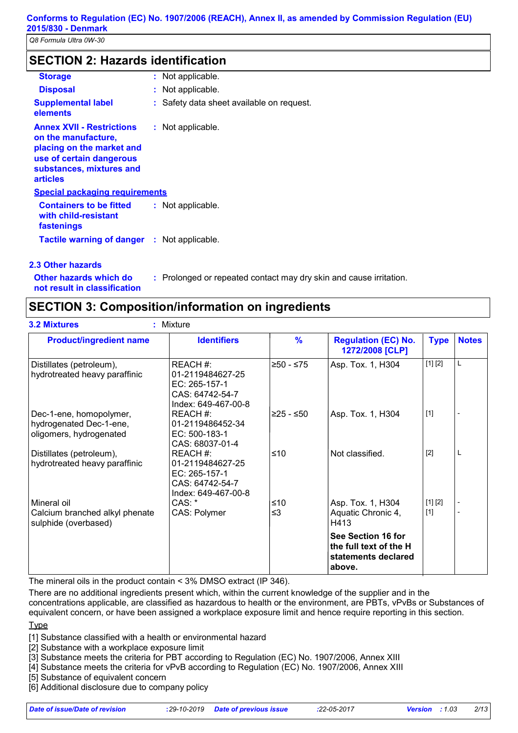# **SECTION 2: Hazards identification**

| <b>Storage</b>                                                                                                                                                  |  | : Not applicable.                       |  |
|-----------------------------------------------------------------------------------------------------------------------------------------------------------------|--|-----------------------------------------|--|
| <b>Disposal</b>                                                                                                                                                 |  | : Not applicable.                       |  |
| <b>Supplemental label</b><br>elements                                                                                                                           |  | Safety data sheet available on request. |  |
| <b>Annex XVII - Restrictions</b><br>on the manufacture,<br>placing on the market and<br>use of certain dangerous<br>substances, mixtures and<br><b>articles</b> |  | : Not applicable.                       |  |
| <b>Special packaging requirements</b>                                                                                                                           |  |                                         |  |
| <b>Containers to be fitted</b><br>with child-resistant<br>fastenings                                                                                            |  | : Not applicable.                       |  |
| <b>Tactile warning of danger : Not applicable.</b>                                                                                                              |  |                                         |  |

#### **2.3 Other hazards**

**Other hazards which do : not result in classification**

# **SECTION 3: Composition/information on ingredients**

| <b>Product/ingredient name</b>                                                | <b>Identifiers</b>                                                                      | $\frac{9}{6}$ | <b>Regulation (EC) No.</b><br>1272/2008 [CLP]                                 | <b>Type</b> | <b>Notes</b> |
|-------------------------------------------------------------------------------|-----------------------------------------------------------------------------------------|---------------|-------------------------------------------------------------------------------|-------------|--------------|
| Distillates (petroleum),<br>hydrotreated heavy paraffinic                     | REACH #:<br>01-2119484627-25<br>EC: 265-157-1<br>CAS: 64742-54-7<br>Index: 649-467-00-8 | ≥50 - ≤75     | Asp. Tox. 1, H304                                                             | [1] [2]     | L            |
| Dec-1-ene, homopolymer,<br>hydrogenated Dec-1-ene,<br>oligomers, hydrogenated | REACH #:<br>01-2119486452-34<br>EC: 500-183-1<br>CAS: 68037-01-4                        | 225 - ≤50∣    | Asp. Tox. 1, H304                                                             | $[1]$       |              |
| Distillates (petroleum),<br>hydrotreated heavy paraffinic                     | REACH #:<br>01-2119484627-25<br>EC: 265-157-1<br>CAS: 64742-54-7<br>Index: 649-467-00-8 | ≤10           | Not classified.                                                               | $[2]$       | L            |
| Mineral oil                                                                   | CAS:                                                                                    | ≤10           | Asp. Tox. 1, H304                                                             | [1] [2]     |              |
| Calcium branched alkyl phenate<br>sulphide (overbased)                        | CAS: Polymer                                                                            | $\leq$ 3      | Aquatic Chronic 4,<br>H413                                                    | $[1]$       |              |
|                                                                               |                                                                                         |               | See Section 16 for<br>the full text of the H<br>statements declared<br>above. |             |              |

: Prolonged or repeated contact may dry skin and cause irritation.

The mineral oils in the product contain < 3% DMSO extract (IP 346).

There are no additional ingredients present which, within the current knowledge of the supplier and in the concentrations applicable, are classified as hazardous to health or the environment, are PBTs, vPvBs or Substances of equivalent concern, or have been assigned a workplace exposure limit and hence require reporting in this section.

#### Type

[1] Substance classified with a health or environmental hazard

[2] Substance with a workplace exposure limit

[3] Substance meets the criteria for PBT according to Regulation (EC) No. 1907/2006, Annex XIII

[4] Substance meets the criteria for vPvB according to Regulation (EC) No. 1907/2006, Annex XIII

[5] Substance of equivalent concern

[6] Additional disclosure due to company policy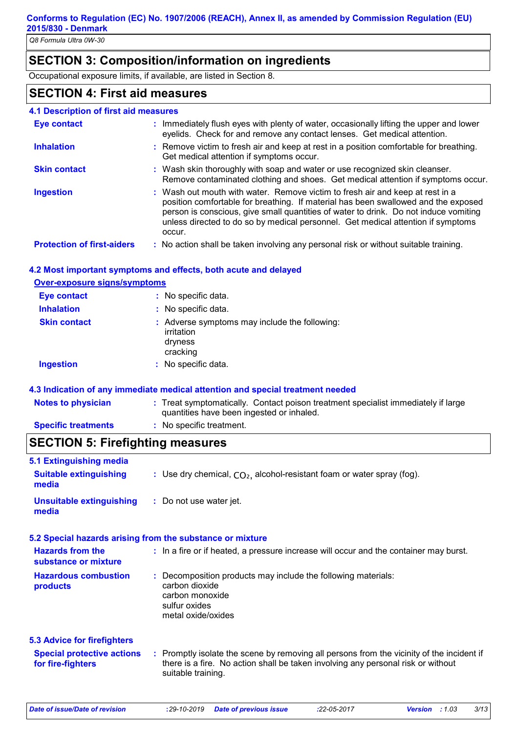# **SECTION 3: Composition/information on ingredients**

Occupational exposure limits, if available, are listed in Section 8.

# **SECTION 4: First aid measures**

| <b>4.1 Description of first aid measures</b> |                                                                                                                                                                                                                                                                                                                                                           |
|----------------------------------------------|-----------------------------------------------------------------------------------------------------------------------------------------------------------------------------------------------------------------------------------------------------------------------------------------------------------------------------------------------------------|
| <b>Eye contact</b>                           | : Immediately flush eyes with plenty of water, occasionally lifting the upper and lower<br>eyelids. Check for and remove any contact lenses. Get medical attention.                                                                                                                                                                                       |
| <b>Inhalation</b>                            | : Remove victim to fresh air and keep at rest in a position comfortable for breathing.<br>Get medical attention if symptoms occur.                                                                                                                                                                                                                        |
| <b>Skin contact</b>                          | : Wash skin thoroughly with soap and water or use recognized skin cleanser.<br>Remove contaminated clothing and shoes. Get medical attention if symptoms occur.                                                                                                                                                                                           |
| <b>Ingestion</b>                             | : Wash out mouth with water. Remove victim to fresh air and keep at rest in a<br>position comfortable for breathing. If material has been swallowed and the exposed<br>person is conscious, give small quantities of water to drink. Do not induce vomiting<br>unless directed to do so by medical personnel. Get medical attention if symptoms<br>occur. |
| <b>Protection of first-aiders</b>            | : No action shall be taken involving any personal risk or without suitable training.                                                                                                                                                                                                                                                                      |

#### **4.2 Most important symptoms and effects, both acute and delayed**

| <b>Over-exposure signs/symptoms</b> |                                                                                    |
|-------------------------------------|------------------------------------------------------------------------------------|
| <b>Eye contact</b>                  | : No specific data.                                                                |
| <b>Inhalation</b>                   | : No specific data.                                                                |
| <b>Skin contact</b>                 | : Adverse symptoms may include the following:<br>irritation<br>dryness<br>cracking |
| <b>Ingestion</b>                    | : No specific data.                                                                |
|                                     |                                                                                    |

#### **4.3 Indication of any immediate medical attention and special treatment needed**

| <b>Notes to physician</b>  | : Treat symptomatically. Contact poison treatment specialist immediately if large<br>quantities have been ingested or inhaled. |
|----------------------------|--------------------------------------------------------------------------------------------------------------------------------|
| <b>Specific treatments</b> | : No specific treatment.                                                                                                       |

# **SECTION 5: Firefighting measures**

| 5.1 Extinguishing media                                |                                                                                                                                                                                                     |
|--------------------------------------------------------|-----------------------------------------------------------------------------------------------------------------------------------------------------------------------------------------------------|
| <b>Suitable extinguishing</b><br>media                 | : Use dry chemical, $CO2$ , alcohol-resistant foam or water spray (fog).                                                                                                                            |
| <b>Unsuitable extinguishing</b><br>media               | : Do not use water jet.                                                                                                                                                                             |
|                                                        | 5.2 Special hazards arising from the substance or mixture                                                                                                                                           |
| <b>Hazards from the</b><br>substance or mixture        | : In a fire or if heated, a pressure increase will occur and the container may burst.                                                                                                               |
| <b>Hazardous combustion</b><br>products                | : Decomposition products may include the following materials:<br>carbon dioxide<br>carbon monoxide<br>sulfur oxides<br>metal oxide/oxides                                                           |
| <b>5.3 Advice for firefighters</b>                     |                                                                                                                                                                                                     |
| <b>Special protective actions</b><br>for fire-fighters | : Promptly isolate the scene by removing all persons from the vicinity of the incident if<br>there is a fire. No action shall be taken involving any personal risk or without<br>suitable training. |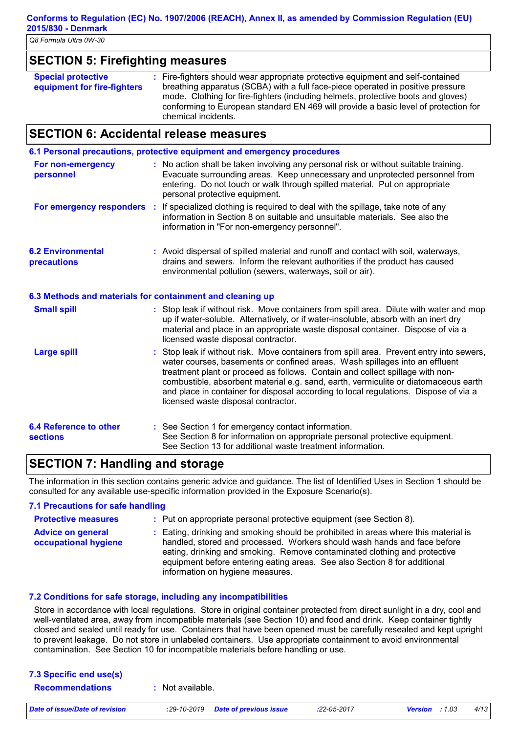#### **Conforms to Regulation (EC) No. 1907/2006 (REACH), Annex II, as amended by Commission Regulation (EU) 2015/830 - Denmark**

*Q8 Formula Ultra 0W-30*

#### **SECTION 5: Firefighting measures**

#### **SECTION 6: Accidental release measures**

|                                                  | 6.1 Personal precautions, protective equipment and emergency procedures                                                                                                                                                                                                                                                                                                                                                                                                        |
|--------------------------------------------------|--------------------------------------------------------------------------------------------------------------------------------------------------------------------------------------------------------------------------------------------------------------------------------------------------------------------------------------------------------------------------------------------------------------------------------------------------------------------------------|
| For non-emergency<br>personnel                   | : No action shall be taken involving any personal risk or without suitable training.<br>Evacuate surrounding areas. Keep unnecessary and unprotected personnel from<br>entering. Do not touch or walk through spilled material. Put on appropriate<br>personal protective equipment.                                                                                                                                                                                           |
|                                                  | For emergency responders : If specialized clothing is required to deal with the spillage, take note of any<br>information in Section 8 on suitable and unsuitable materials. See also the<br>information in "For non-emergency personnel".                                                                                                                                                                                                                                     |
| <b>6.2 Environmental</b><br>precautions          | : Avoid dispersal of spilled material and runoff and contact with soil, waterways,<br>drains and sewers. Inform the relevant authorities if the product has caused<br>environmental pollution (sewers, waterways, soil or air).                                                                                                                                                                                                                                                |
|                                                  | 6.3 Methods and materials for containment and cleaning up                                                                                                                                                                                                                                                                                                                                                                                                                      |
| <b>Small spill</b>                               | : Stop leak if without risk. Move containers from spill area. Dilute with water and mop<br>up if water-soluble. Alternatively, or if water-insoluble, absorb with an inert dry<br>material and place in an appropriate waste disposal container. Dispose of via a<br>licensed waste disposal contractor.                                                                                                                                                                       |
| <b>Large spill</b>                               | : Stop leak if without risk. Move containers from spill area. Prevent entry into sewers,<br>water courses, basements or confined areas. Wash spillages into an effluent<br>treatment plant or proceed as follows. Contain and collect spillage with non-<br>combustible, absorbent material e.g. sand, earth, vermiculite or diatomaceous earth<br>and place in container for disposal according to local regulations. Dispose of via a<br>licensed waste disposal contractor. |
| <b>6.4 Reference to other</b><br><b>sections</b> | : See Section 1 for emergency contact information.<br>See Section 8 for information on appropriate personal protective equipment.<br>See Section 13 for additional waste treatment information.                                                                                                                                                                                                                                                                                |

# **SECTION 7: Handling and storage**

The information in this section contains generic advice and guidance. The list of Identified Uses in Section 1 should be consulted for any available use-specific information provided in the Exposure Scenario(s).

#### **7.1 Precautions for safe handling Protective measures :**

- : Put on appropriate personal protective equipment (see Section 8).
- **Advice on general occupational hygiene :** Eating, drinking and smoking should be prohibited in areas where this material is handled, stored and processed. Workers should wash hands and face before eating, drinking and smoking. Remove contaminated clothing and protective equipment before entering eating areas. See also Section 8 for additional information on hygiene measures.

#### **7.2 Conditions for safe storage, including any incompatibilities**

Store in accordance with local regulations. Store in original container protected from direct sunlight in a dry, cool and well-ventilated area, away from incompatible materials (see Section 10) and food and drink. Keep container tightly closed and sealed until ready for use. Containers that have been opened must be carefully resealed and kept upright to prevent leakage. Do not store in unlabeled containers. Use appropriate containment to avoid environmental contamination. See Section 10 for incompatible materials before handling or use.

| 7.3 Specific end use(s) |                  |  |
|-------------------------|------------------|--|
| <b>Recommendations</b>  | : Not available. |  |
|                         |                  |  |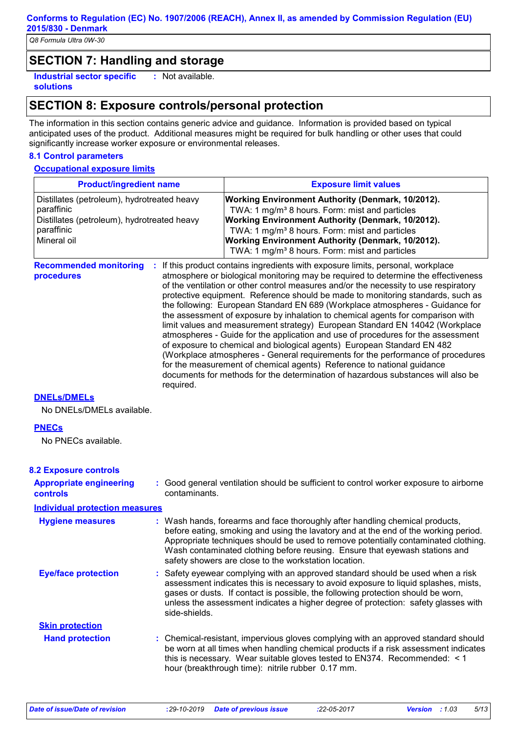## **SECTION 7: Handling and storage**

**Industrial sector specific : solutions**

# : Not available.

# **SECTION 8: Exposure controls/personal protection**

The information in this section contains generic advice and guidance. Information is provided based on typical anticipated uses of the product. Additional measures might be required for bulk handling or other uses that could significantly increase worker exposure or environmental releases.

#### **8.1 Control parameters**

#### **Occupational exposure limits**

| <b>Product/ingredient name</b>                                                                                                        | <b>Exposure limit values</b>                                                                                                                                                                                                                                                                                                                                                                                                                                                                                                                                                                                                                                                                                                                                                                                                                                                                                                                                                                                        |  |
|---------------------------------------------------------------------------------------------------------------------------------------|---------------------------------------------------------------------------------------------------------------------------------------------------------------------------------------------------------------------------------------------------------------------------------------------------------------------------------------------------------------------------------------------------------------------------------------------------------------------------------------------------------------------------------------------------------------------------------------------------------------------------------------------------------------------------------------------------------------------------------------------------------------------------------------------------------------------------------------------------------------------------------------------------------------------------------------------------------------------------------------------------------------------|--|
| Distillates (petroleum), hydrotreated heavy<br>paraffinic<br>Distillates (petroleum), hydrotreated heavy<br>paraffinic<br>Mineral oil | <b>Working Environment Authority (Denmark, 10/2012).</b><br>TWA: 1 mg/m <sup>3</sup> 8 hours. Form: mist and particles<br>Working Environment Authority (Denmark, 10/2012).<br>TWA: 1 mg/m <sup>3</sup> 8 hours. Form: mist and particles<br>Working Environment Authority (Denmark, 10/2012).<br>TWA: 1 mg/m <sup>3</sup> 8 hours. Form: mist and particles                                                                                                                                                                                                                                                                                                                                                                                                                                                                                                                                                                                                                                                        |  |
| <b>Recommended monitoring</b><br>procedures<br>required.                                                                              | If this product contains ingredients with exposure limits, personal, workplace<br>atmosphere or biological monitoring may be required to determine the effectiveness<br>of the ventilation or other control measures and/or the necessity to use respiratory<br>protective equipment. Reference should be made to monitoring standards, such as<br>the following: European Standard EN 689 (Workplace atmospheres - Guidance for<br>the assessment of exposure by inhalation to chemical agents for comparison with<br>limit values and measurement strategy) European Standard EN 14042 (Workplace<br>atmospheres - Guide for the application and use of procedures for the assessment<br>of exposure to chemical and biological agents) European Standard EN 482<br>(Workplace atmospheres - General requirements for the performance of procedures<br>for the measurement of chemical agents) Reference to national guidance<br>documents for methods for the determination of hazardous substances will also be |  |

**DNELs/DMELs**

No DNELs/DMELs available.

#### **PNECs**

No PNECs available.

#### **8.2 Exposure controls**

| <b>Appropriate engineering</b><br><b>controls</b> | : Good general ventilation should be sufficient to control worker exposure to airborne<br>contaminants.                                                                                                                                                                                                                                                                                           |
|---------------------------------------------------|---------------------------------------------------------------------------------------------------------------------------------------------------------------------------------------------------------------------------------------------------------------------------------------------------------------------------------------------------------------------------------------------------|
| <b>Individual protection measures</b>             |                                                                                                                                                                                                                                                                                                                                                                                                   |
| <b>Hygiene measures</b>                           | : Wash hands, forearms and face thoroughly after handling chemical products,<br>before eating, smoking and using the lavatory and at the end of the working period.<br>Appropriate techniques should be used to remove potentially contaminated clothing.<br>Wash contaminated clothing before reusing. Ensure that eyewash stations and<br>safety showers are close to the workstation location. |
| <b>Eye/face protection</b>                        | : Safety eyewear complying with an approved standard should be used when a risk<br>assessment indicates this is necessary to avoid exposure to liquid splashes, mists,<br>gases or dusts. If contact is possible, the following protection should be worn,<br>unless the assessment indicates a higher degree of protection: safety glasses with<br>side-shields.                                 |
| <b>Skin protection</b>                            |                                                                                                                                                                                                                                                                                                                                                                                                   |
| <b>Hand protection</b>                            | : Chemical-resistant, impervious gloves complying with an approved standard should<br>be worn at all times when handling chemical products if a risk assessment indicates<br>this is necessary. Wear suitable gloves tested to EN374. Recommended: $\leq 1$<br>hour (breakthrough time): nitrile rubber 0.17 mm.                                                                                  |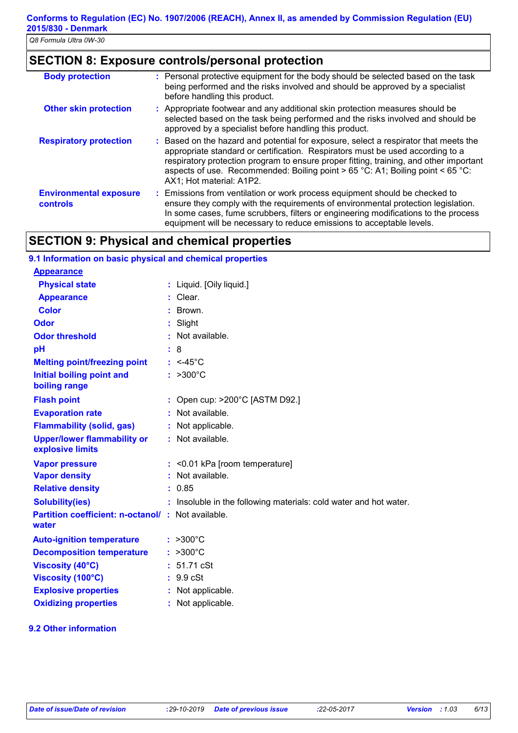# **SECTION 8: Exposure controls/personal protection**

| <b>Body protection</b>                           | : Personal protective equipment for the body should be selected based on the task<br>being performed and the risks involved and should be approved by a specialist<br>before handling this product.                                                                                                                                                                              |
|--------------------------------------------------|----------------------------------------------------------------------------------------------------------------------------------------------------------------------------------------------------------------------------------------------------------------------------------------------------------------------------------------------------------------------------------|
| <b>Other skin protection</b>                     | : Appropriate footwear and any additional skin protection measures should be<br>selected based on the task being performed and the risks involved and should be<br>approved by a specialist before handling this product.                                                                                                                                                        |
| <b>Respiratory protection</b>                    | : Based on the hazard and potential for exposure, select a respirator that meets the<br>appropriate standard or certification. Respirators must be used according to a<br>respiratory protection program to ensure proper fitting, training, and other important<br>aspects of use. Recommended: Boiling point $> 65$ °C: A1; Boiling point < 65 °C:<br>AX1; Hot material: A1P2. |
| <b>Environmental exposure</b><br><b>controls</b> | : Emissions from ventilation or work process equipment should be checked to<br>ensure they comply with the requirements of environmental protection legislation.<br>In some cases, fume scrubbers, filters or engineering modifications to the process<br>equipment will be necessary to reduce emissions to acceptable levels.                                                  |

# **SECTION 9: Physical and chemical properties**

| 9.1 Information on basic physical and chemical properties   |                                                                   |
|-------------------------------------------------------------|-------------------------------------------------------------------|
| <b>Appearance</b>                                           |                                                                   |
| <b>Physical state</b>                                       | : Liquid. [Oily liquid.]                                          |
| <b>Appearance</b>                                           | Clear.                                                            |
| <b>Color</b>                                                | Brown.                                                            |
| <b>Odor</b>                                                 | Slight                                                            |
| <b>Odor threshold</b>                                       | Not available.                                                    |
| pH                                                          | 8                                                                 |
| <b>Melting point/freezing point</b>                         | $: <45^{\circ}$ C                                                 |
| <b>Initial boiling point and</b><br>boiling range           | $: >300^{\circ}C$                                                 |
| <b>Flash point</b>                                          | Open cup: >200°C [ASTM D92.]                                      |
| <b>Evaporation rate</b>                                     | : Not available.                                                  |
| <b>Flammability (solid, gas)</b>                            | Not applicable.                                                   |
| <b>Upper/lower flammability or</b><br>explosive limits      | : Not available.                                                  |
| <b>Vapor pressure</b>                                       | : < 0.01 kPa [room temperature]                                   |
| <b>Vapor density</b>                                        | Not available.                                                    |
| <b>Relative density</b>                                     | : 0.85                                                            |
| <b>Solubility(ies)</b>                                      | : Insoluble in the following materials: cold water and hot water. |
| Partition coefficient: n-octanol/ : Not available.<br>water |                                                                   |
| <b>Auto-ignition temperature</b>                            | $: >300^{\circ}$ C                                                |
| <b>Decomposition temperature</b>                            | $: >300^{\circ}$ C                                                |
| <b>Viscosity (40°C)</b>                                     | : 51.71 cSt                                                       |
| Viscosity (100°C)                                           | : 9.9 cSt                                                         |
| <b>Explosive properties</b>                                 | : Not applicable.                                                 |
| <b>Oxidizing properties</b>                                 | : Not applicable.                                                 |

#### **9.2 Other information**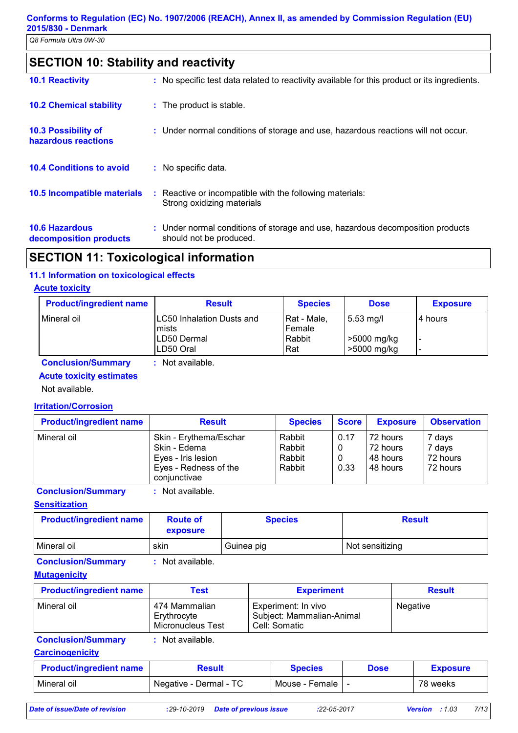# **SECTION 10: Stability and reactivity**

| <b>10.1 Reactivity</b>                          | : No specific test data related to reactivity available for this product or its ingredients.              |
|-------------------------------------------------|-----------------------------------------------------------------------------------------------------------|
| <b>10.2 Chemical stability</b>                  | : The product is stable.                                                                                  |
| 10.3 Possibility of<br>hazardous reactions      | : Under normal conditions of storage and use, hazardous reactions will not occur.                         |
| <b>10.4 Conditions to avoid</b>                 | : No specific data.                                                                                       |
| 10.5 Incompatible materials                     | : Reactive or incompatible with the following materials:<br>Strong oxidizing materials                    |
| <b>10.6 Hazardous</b><br>decomposition products | : Under normal conditions of storage and use, hazardous decomposition products<br>should not be produced. |

# **SECTION 11: Toxicological information**

#### **11.1 Information on toxicological effects**

#### **Acute toxicity**

| <b>Product/ingredient name</b> | <b>Result</b>                        | <b>Species</b>          | <b>Dose</b>                  | <b>Exposure</b> |
|--------------------------------|--------------------------------------|-------------------------|------------------------------|-----------------|
| l Mineral oil                  | ILC50 Inhalation Dusts and<br>lmists | l Rat - Male.<br>Female | $\vert$ 5.53 mg/l            | l 4 hours       |
|                                | LD50 Dermal<br>LD50 Oral             | Rabbit<br>Rat           | $>5000$ mg/kg<br>>5000 mg/kg | -               |

**Conclusion/Summary :** Not available.

#### **Acute toxicity estimates**

Not available.

#### **Irritation/Corrosion**

| <b>Product/ingredient name</b> | <b>Result</b>                                                                                         | <b>Species</b>                       | <b>Score</b> | <b>Exposure</b>                               | <b>Observation</b>                       |
|--------------------------------|-------------------------------------------------------------------------------------------------------|--------------------------------------|--------------|-----------------------------------------------|------------------------------------------|
| Mineral oil                    | Skin - Erythema/Eschar<br>Skin - Edema<br>Eyes - Iris lesion<br>Eyes - Redness of the<br>coniunctivae | Rabbit<br>Rabbit<br>Rabbit<br>Rabbit | 0.17<br>0.33 | 72 hours<br>72 hours<br>I48 hours<br>48 hours | 7 days<br>7 days<br>72 hours<br>72 hours |

**Conclusion/Summary :** Not available.

#### **Sensitization**

| <b>Product/ingredient name</b> | <b>Route of</b><br>exposure | <b>Species</b> | <b>Result</b>   |
|--------------------------------|-----------------------------|----------------|-----------------|
| l Mineral oil                  | skin                        | Guinea pig     | Not sensitizing |

**Conclusion/Summary :** Not available.

#### **Mutagenicity**

| <b>Product/ingredient name</b> | Test                                              | <b>Experiment</b>                                                 | <b>Result</b> |
|--------------------------------|---------------------------------------------------|-------------------------------------------------------------------|---------------|
| Mineral oil                    | 474 Mammalian<br>Erythrocyte<br>Micronucleus Test | Experiment: In vivo<br>Subject: Mammalian-Animal<br>Cell: Somatic | Negative      |

**Conclusion/Summary :** Not available.

**Carcinogenicity**

| <b>Product/ingredient name</b> | Result                 | Species        | Dose | <b>Exposure</b> |
|--------------------------------|------------------------|----------------|------|-----------------|
| Mineral oil                    | Negative - Dermal - TC | Mouse - Female |      | 78 weeks        |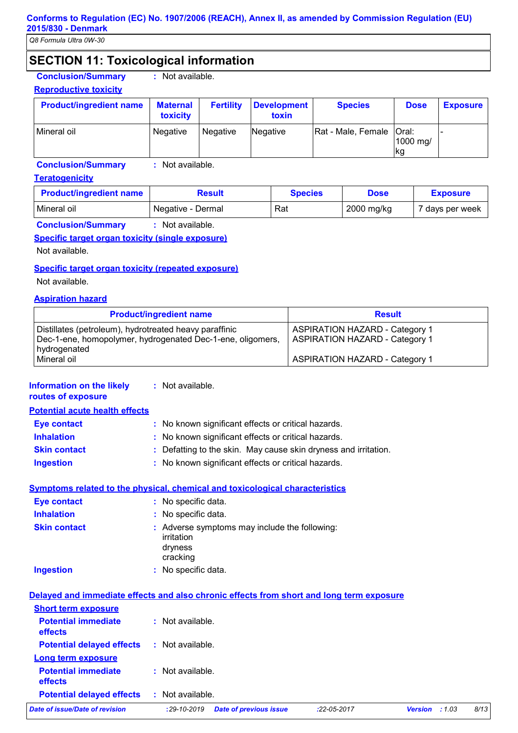# **SECTION 11: Toxicological information**

**Conclusion/Summary :** Not available.

#### **Reproductive toxicity**

| <b>Product/ingredient name</b> | <b>Maternal</b><br>toxicity | <b>Fertility</b> | <b>Development</b><br>toxin | <b>Species</b>             | <b>Dose</b>     | <b>Exposure</b> |
|--------------------------------|-----------------------------|------------------|-----------------------------|----------------------------|-----------------|-----------------|
| Mineral oil                    | Negative                    | Negative         | Negative                    | Rat - Male, Female   Oral: | 1000 mg/<br> kg |                 |

**Conclusion/Summary :** Not available.

#### **Teratogenicity**

| <b>Product/ingredient name</b> | Result            | <b>Species</b> | <b>Dose</b> | <b>Exposure</b> |
|--------------------------------|-------------------|----------------|-------------|-----------------|
| l Mineral oil                  | Negative - Dermal | Rat            | 2000 mg/kg  | 7 days per week |
|                                |                   |                |             |                 |

**Conclusion/Summary :** Not available.

#### **Specific target organ toxicity (single exposure)**

Not available.

#### **Specific target organ toxicity (repeated exposure)**

Not available.

#### **Aspiration hazard**

| <b>Product/ingredient name</b>                                                                                                       | <b>Result</b>                                                                  |  |
|--------------------------------------------------------------------------------------------------------------------------------------|--------------------------------------------------------------------------------|--|
| Distillates (petroleum), hydrotreated heavy paraffinic<br>Dec-1-ene, homopolymer, hydrogenated Dec-1-ene, oligomers,<br>hydrogenated | <b>ASPIRATION HAZARD - Category 1</b><br><b>ASPIRATION HAZARD - Category 1</b> |  |
| Mineral oil                                                                                                                          | <b>ASPIRATION HAZARD - Category 1</b>                                          |  |

#### **:** Not available. **Information on the likely routes of exposure**

| <b>Potential acute health effects</b> |                                                                 |
|---------------------------------------|-----------------------------------------------------------------|
| Eye contact                           | : No known significant effects or critical hazards.             |
| <b>Inhalation</b>                     | : No known significant effects or critical hazards.             |
| <b>Skin contact</b>                   | : Defatting to the skin. May cause skin dryness and irritation. |
| <b>Ingestion</b>                      | : No known significant effects or critical hazards.             |

### **Symptoms related to the physical, chemical and toxicological characteristics**

| <b>Eye contact</b>  | : No specific data.                                                                |
|---------------------|------------------------------------------------------------------------------------|
| <b>Inhalation</b>   | : No specific data.                                                                |
| <b>Skin contact</b> | : Adverse symptoms may include the following:<br>irritation<br>dryness<br>cracking |
| <b>Ingestion</b>    | : No specific data.                                                                |

#### **Delayed and immediate effects and also chronic effects from short and long term exposure Short term exposure Long term exposure Potential immediate effects Potential delayed effects : :** Not available. **Potential immediate effects Potential delayed effects : :** Not available. : Not available. : Not available. *Date of issue/Date of revision* **:***29-10-2019 Date of previous issue :22-05-2017 Version : 1.03 8/13*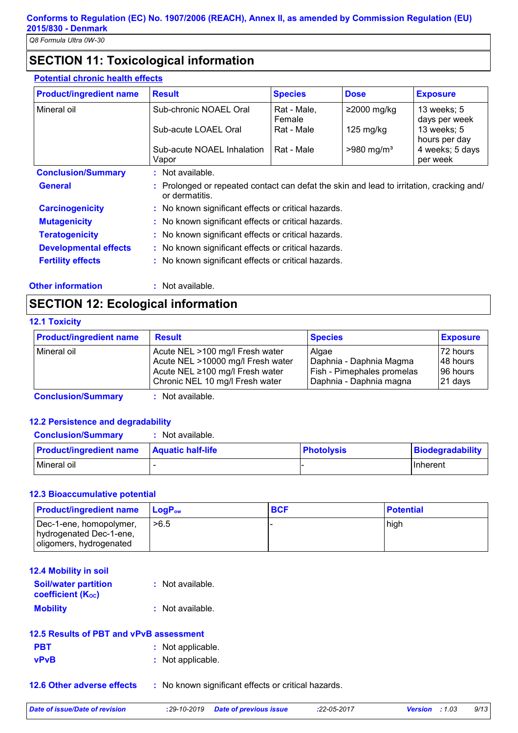# **SECTION 11: Toxicological information**

#### **Potential chronic health effects**

| <b>Product/ingredient name</b>              | <b>Result</b>                                                                                            | <b>Species</b>        | <b>Dose</b>              | <b>Exposure</b>              |  |
|---------------------------------------------|----------------------------------------------------------------------------------------------------------|-----------------------|--------------------------|------------------------------|--|
| Mineral oil                                 | Sub-chronic NOAEL Oral                                                                                   | Rat - Male.<br>Female | $≥2000$ mg/kg            | 13 weeks; 5<br>days per week |  |
|                                             | Sub-acute LOAEL Oral                                                                                     | Rat - Male            | $125 \text{ mg/kg}$      | 13 weeks; 5<br>hours per day |  |
|                                             | Sub-acute NOAEL Inhalation<br>Vapor                                                                      | Rat - Male            | $>980$ mg/m <sup>3</sup> | 4 weeks; 5 days<br>per week  |  |
|                                             | Not available.<br>÷.                                                                                     |                       |                          |                              |  |
|                                             |                                                                                                          |                       |                          |                              |  |
| <b>Conclusion/Summary</b><br><b>General</b> | Prolonged or repeated contact can defat the skin and lead to irritation, cracking and/<br>or dermatitis. |                       |                          |                              |  |
| <b>Carcinogenicity</b>                      | : No known significant effects or critical hazards.                                                      |                       |                          |                              |  |
| <b>Mutagenicity</b>                         | : No known significant effects or critical hazards.                                                      |                       |                          |                              |  |
| <b>Teratogenicity</b>                       | : No known significant effects or critical hazards.                                                      |                       |                          |                              |  |
| <b>Developmental effects</b>                | : No known significant effects or critical hazards.                                                      |                       |                          |                              |  |

**Other information :** Not available.

# **SECTION 12: Ecological information**

#### **12.1 Toxicity**

| <b>Product/ingredient name</b> | <b>Result</b>                     | <b>Species</b>             | <b>Exposure</b> |
|--------------------------------|-----------------------------------|----------------------------|-----------------|
| Mineral oil                    | Acute NEL >100 mg/l Fresh water   | Algae                      | 72 hours        |
|                                | Acute NEL >10000 mg/l Fresh water | Daphnia - Daphnia Magma    | 148 hours       |
|                                | Acute NEL ≥100 mg/l Fresh water   | Fish - Pimephales promelas | 196 hours       |
|                                | Chronic NEL 10 mg/l Fresh water   | Daphnia - Daphnia magna    | 21 days         |

**Conclusion/Summary :** Not available.

#### **12.2 Persistence and degradability**

#### **Conclusion/Summary :** Not available.

| <b>Product/ingredient name</b> | <b>Aquatic half-life</b> | <b>Photolysis</b> | Biodegradability |
|--------------------------------|--------------------------|-------------------|------------------|
| l Mineral oil                  |                          |                   | <b>Ilnherent</b> |

#### **12.3 Bioaccumulative potential**

| <b>Product/ingredient name</b>                                                | <b>LogP</b> <sub>ow</sub> | <b>BCF</b> | <b>Potential</b> |
|-------------------------------------------------------------------------------|---------------------------|------------|------------------|
| Dec-1-ene, homopolymer,<br>hydrogenated Dec-1-ene,<br>oligomers, hydrogenated | >6.5                      |            | high             |

| : Not available.   |
|--------------------|
| $:$ Not available. |
|                    |

| 12.5 Results of PBT and vPvB assessment |                   |  |  |
|-----------------------------------------|-------------------|--|--|
| <b>PBT</b>                              | : Not applicable. |  |  |
| <b>vPvB</b>                             | : Not applicable. |  |  |

**12.6 Other adverse effects** : No known significant effects or critical hazards.

*Date of issue/Date of revision* **:***29-10-2019 Date of previous issue :22-05-2017 Version : 1.03 9/13*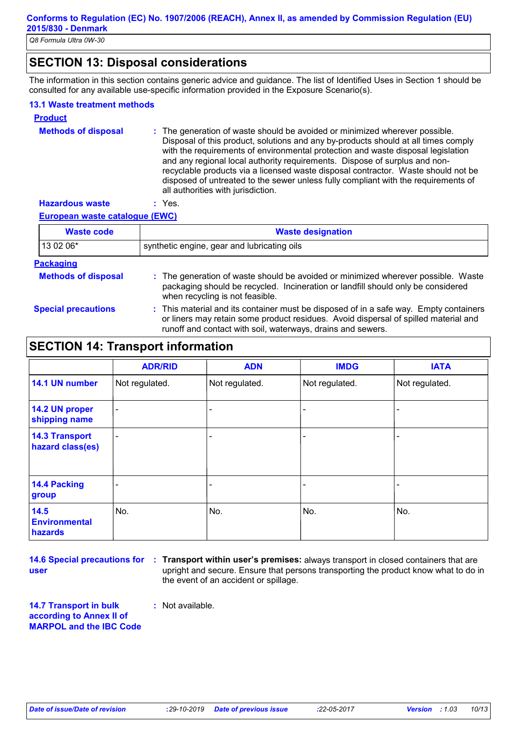# **SECTION 13: Disposal considerations**

The information in this section contains generic advice and guidance. The list of Identified Uses in Section 1 should be consulted for any available use-specific information provided in the Exposure Scenario(s).

#### **13.1 Waste treatment methods**

| <b>Product</b>             |                                                                                                                                                                                                                                                                                                                                                                                                                                                                                                                                                      |
|----------------------------|------------------------------------------------------------------------------------------------------------------------------------------------------------------------------------------------------------------------------------------------------------------------------------------------------------------------------------------------------------------------------------------------------------------------------------------------------------------------------------------------------------------------------------------------------|
| <b>Methods of disposal</b> | : The generation of waste should be avoided or minimized wherever possible.<br>Disposal of this product, solutions and any by-products should at all times comply<br>with the requirements of environmental protection and waste disposal legislation<br>and any regional local authority requirements. Dispose of surplus and non-<br>recyclable products via a licensed waste disposal contractor. Waste should not be<br>disposed of untreated to the sewer unless fully compliant with the requirements of<br>all authorities with jurisdiction. |
| <b>Hazardous waste</b>     | Yes.                                                                                                                                                                                                                                                                                                                                                                                                                                                                                                                                                 |

#### **European waste catalogue (EWC)**

| <b>Waste code</b>          | <b>Waste designation</b>                                                                                                                                                                                                                    |  |  |  |
|----------------------------|---------------------------------------------------------------------------------------------------------------------------------------------------------------------------------------------------------------------------------------------|--|--|--|
| 13 02 06*                  | synthetic engine, gear and lubricating oils                                                                                                                                                                                                 |  |  |  |
| <b>Packaging</b>           |                                                                                                                                                                                                                                             |  |  |  |
| <b>Methods of disposal</b> | : The generation of waste should be avoided or minimized wherever possible. Waste<br>packaging should be recycled. Incineration or landfill should only be considered<br>when recycling is not feasible.                                    |  |  |  |
| <b>Special precautions</b> | : This material and its container must be disposed of in a safe way. Empty containers<br>or liners may retain some product residues. Avoid dispersal of spilled material and<br>runoff and contact with soil, waterways, drains and sewers. |  |  |  |

## **SECTION 14: Transport information**

|                                           | <b>ADR/RID</b>           | <b>ADN</b>     | <b>IMDG</b>    | <b>IATA</b>    |
|-------------------------------------------|--------------------------|----------------|----------------|----------------|
| 14.1 UN number                            | Not regulated.           | Not regulated. | Not regulated. | Not regulated. |
| 14.2 UN proper<br>shipping name           | $\blacksquare$           |                |                |                |
| <b>14.3 Transport</b><br>hazard class(es) | $\overline{\phantom{a}}$ |                | -              |                |
| <b>14.4 Packing</b><br>group              |                          | -              |                |                |
| 14.5<br><b>Environmental</b><br>hazards   | No.                      | No.            | No.            | No.            |

**user**

**14.6 Special precautions for : Transport within user's premises:** always transport in closed containers that are upright and secure. Ensure that persons transporting the product know what to do in the event of an accident or spillage.

**14.7 Transport in bulk according to Annex II of MARPOL and the IBC Code :** Not available.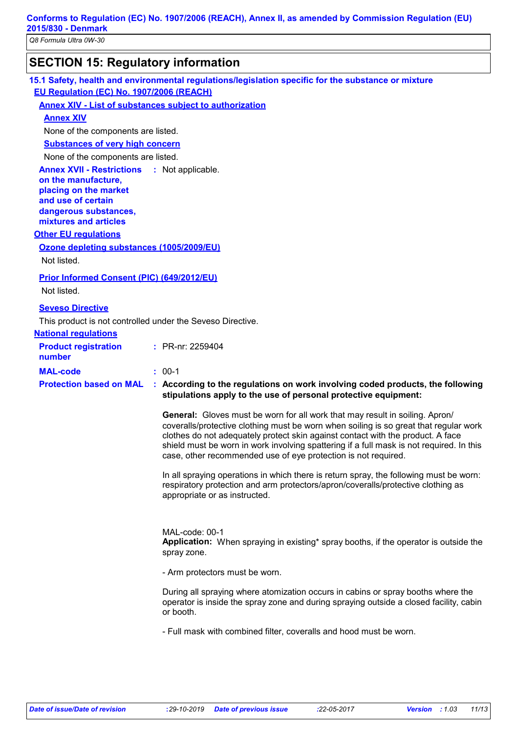**Conforms to Regulation (EC) No. 1907/2006 (REACH), Annex II, as amended by Commission Regulation (EU) 2015/830 - Denmark**

*Q8 Formula Ultra 0W-30*

# **SECTION 15: Regulatory information**

**15.1 Safety, health and environmental regulations/legislation specific for the substance or mixture EU Regulation (EC) No. 1907/2006 (REACH) Annex XIV - List of substances subject to authorization**

**Annex XIV**

None of the components are listed.

**Substances of very high concern**

None of the components are listed.

**Annex XVII - Restrictions on the manufacture, placing on the market and use of certain dangerous substances, mixtures and articles** : Not applicable.

**Other EU regulations**

#### **Ozone depleting substances (1005/2009/EU)**

Not listed.

#### **Prior Informed Consent (PIC) (649/2012/EU)**

Not listed.

#### **Seveso Directive**

This product is not controlled under the Seveso Directive.

| <b>National regulations</b> |  |
|-----------------------------|--|
|                             |  |

| <b>Product registration</b><br>number |                                                                                                                                                   | : PR-nr: 2259404                                                                                                                                                                                                                                                                                                                                                                                                              |
|---------------------------------------|---------------------------------------------------------------------------------------------------------------------------------------------------|-------------------------------------------------------------------------------------------------------------------------------------------------------------------------------------------------------------------------------------------------------------------------------------------------------------------------------------------------------------------------------------------------------------------------------|
| <b>MAL-code</b>                       |                                                                                                                                                   | $: 00-1$                                                                                                                                                                                                                                                                                                                                                                                                                      |
| <b>Protection based on MAL</b>        | : According to the regulations on work involving coded products, the following<br>stipulations apply to the use of personal protective equipment: |                                                                                                                                                                                                                                                                                                                                                                                                                               |
|                                       |                                                                                                                                                   | <b>General:</b> Gloves must be worn for all work that may result in soiling. Apron/<br>coveralls/protective clothing must be worn when soiling is so great that regular work<br>clothes do not adequately protect skin against contact with the product. A face<br>shield must be worn in work involving spattering if a full mask is not required. In this<br>case, other recommended use of eye protection is not required. |

In all spraying operations in which there is return spray, the following must be worn: respiratory protection and arm protectors/apron/coveralls/protective clothing as appropriate or as instructed.

MAL-code: 00-1 **Application:** When spraying in existing\* spray booths, if the operator is outside the spray zone.

- Arm protectors must be worn.

During all spraying where atomization occurs in cabins or spray booths where the operator is inside the spray zone and during spraying outside a closed facility, cabin or booth.

- Full mask with combined filter, coveralls and hood must be worn.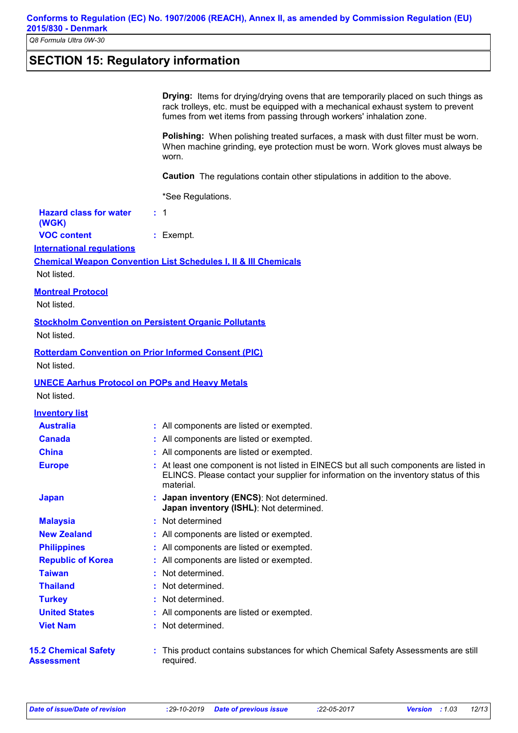# **SECTION 15: Regulatory information**

| <b>Drying:</b> Items for drying/drying ovens that are temporarily placed on such things as |
|--------------------------------------------------------------------------------------------|
| rack trolleys, etc. must be equipped with a mechanical exhaust system to prevent           |
| fumes from wet items from passing through workers' inhalation zone.                        |

**Polishing:** When polishing treated surfaces, a mask with dust filter must be worn. When machine grinding, eye protection must be worn. Work gloves must always be worn.

**Caution** The regulations contain other stipulations in addition to the above.

\*See Regulations.

| <b>Hazard class for water</b> |  |
|-------------------------------|--|
| (WGK)                         |  |

| ,,,,,,,,           |             |
|--------------------|-------------|
| <b>VOC content</b> | $:$ Exempt. |

**International regulations**

#### **Chemical Weapon Convention List Schedules I, II & III Chemicals**

Not listed.

#### **Montreal Protocol**

Not listed.

#### **Stockholm Convention on Persistent Organic Pollutants**

Not listed.

# **Rotterdam Convention on Prior Informed Consent (PIC)**

Not listed.

#### **UNECE Aarhus Protocol on POPs and Heavy Metals**

Not listed.

| <b>Inventory list</b>                     |                                                                                                                                                                                             |
|-------------------------------------------|---------------------------------------------------------------------------------------------------------------------------------------------------------------------------------------------|
| <b>Australia</b>                          | : All components are listed or exempted.                                                                                                                                                    |
| <b>Canada</b>                             | : All components are listed or exempted.                                                                                                                                                    |
| <b>China</b>                              | : All components are listed or exempted.                                                                                                                                                    |
| <b>Europe</b>                             | : At least one component is not listed in EINECS but all such components are listed in<br>ELINCS. Please contact your supplier for information on the inventory status of this<br>material. |
| <b>Japan</b>                              | : Japan inventory (ENCS): Not determined.<br>Japan inventory (ISHL): Not determined.                                                                                                        |
| <b>Malaysia</b>                           | : Not determined                                                                                                                                                                            |
| <b>New Zealand</b>                        | : All components are listed or exempted.                                                                                                                                                    |
| <b>Philippines</b>                        | : All components are listed or exempted.                                                                                                                                                    |
| <b>Republic of Korea</b>                  | : All components are listed or exempted.                                                                                                                                                    |
| <b>Taiwan</b>                             | : Not determined.                                                                                                                                                                           |
| <b>Thailand</b>                           | : Not determined.                                                                                                                                                                           |
| <b>Turkey</b>                             | : Not determined.                                                                                                                                                                           |
| <b>United States</b>                      | : All components are listed or exempted.                                                                                                                                                    |
| <b>Viet Nam</b>                           | : Not determined.                                                                                                                                                                           |
| <b>15.2 Chemical Safety</b><br>Assessment | This product contains substances for which Chemical Safety Assessments are still<br>required.                                                                                               |